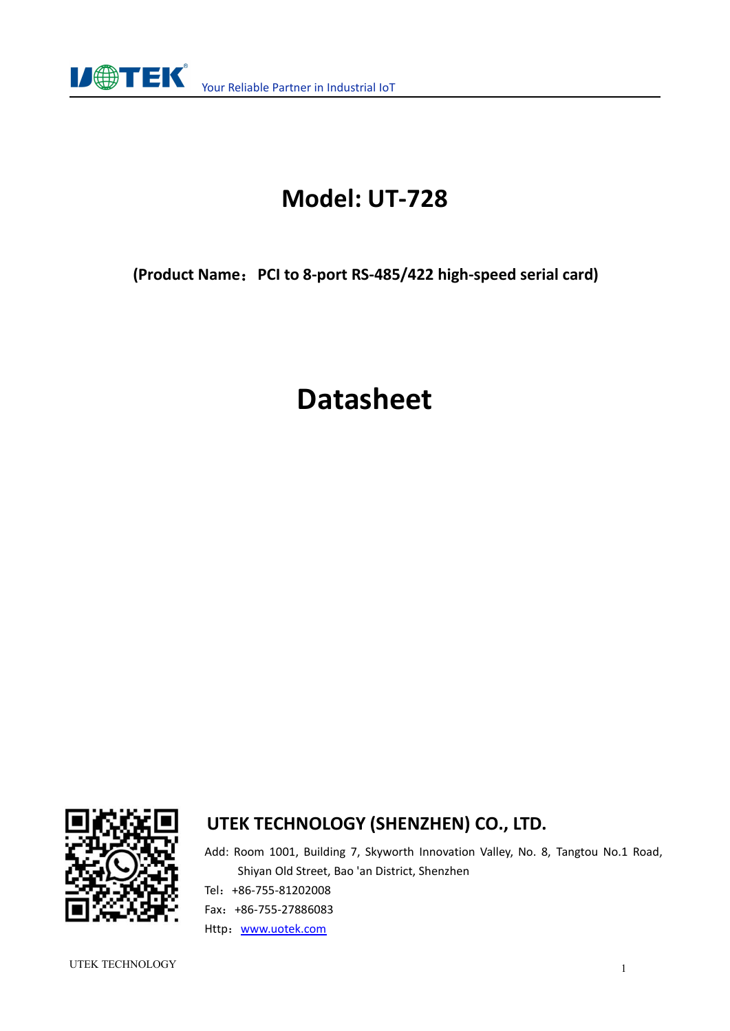

# **Model: UT-728**

**(Product Name**:**PCI to 8-port RS-485/422 high-speed serial card)**

# **Datasheet**



### **UTEK TECHNOLOGY (SHENZHEN) CO., LTD.**

Add: Room 1001, Building 7, Skyworth Innovation Valley, No. 8, Tangtou No.1 Road, Shiyan Old Street, Bao 'an District, Shenzhen Tel:+86-755-81202008 Fax:+86-755-27886083 Http: [www.uotek.com](http://www.uotek.com)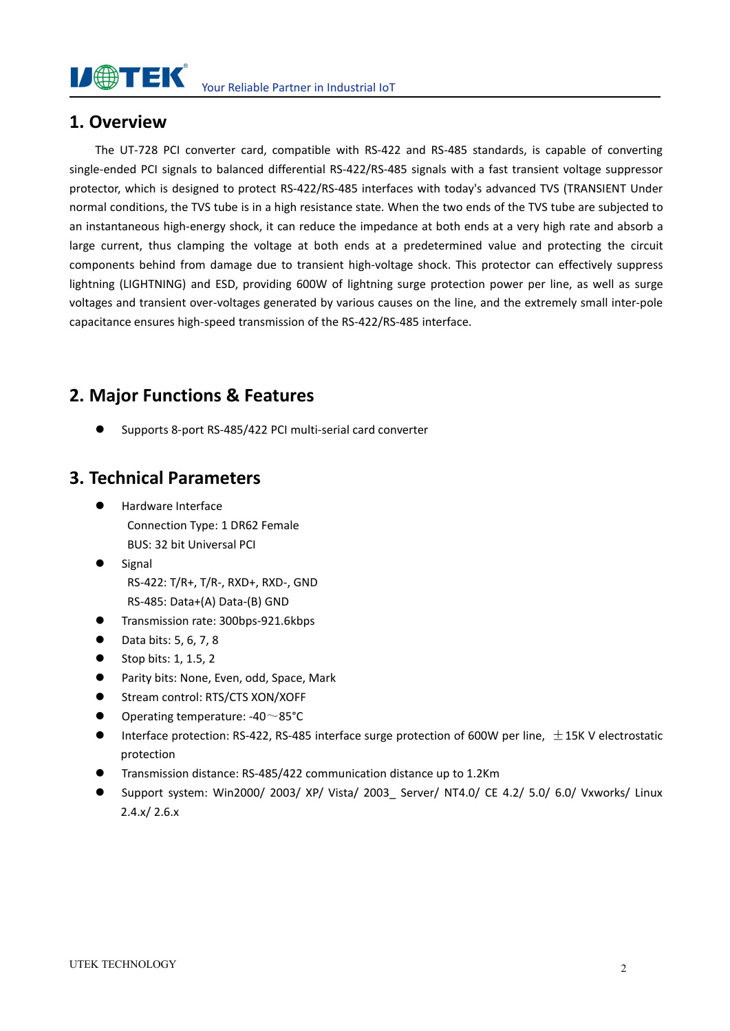#### **I/ OTEK** Your Reliable Partner in Industrial IoT

#### **1. Overview**

The UT-728 PCI converter card, compatible with RS-422 and RS-485 standards, is capable of converting single-ended PCI signals to balanced differential RS-422/RS-485 signals with a fast transient voltage suppressor protector, which is designed to protect RS-422/RS-485 interfaces with today's advanced TVS (TRANSIENT Under normal conditions, the TVS tube is in a high resistance state. When the two ends of the TVS tube are subjected to an instantaneous high-energy shock, it can reduce the impedance at both ends at a very high rate and absorb a large current, thus clamping the voltage at both ends at a predetermined value and protecting the circuit components behind from damage due to transient high-voltage shock. This protector can effectively suppress lightning (LIGHTNING) and ESD, providing 600W of lightning surge protection power per line, as well as surge voltages and transient over-voltages generated by various causes on the line, and the extremely small inter-pole capacitance ensures high-speed transmission of the RS-422/RS-485 interface.

### **2. Major Functions & Features**

Supports 8-port RS-485/422 PCI multi-serial card converter

#### **3. Technical Parameters**

- Hardware Interface Connection Type: 1 DR62 Female BUS: 32 bit Universal PCI
- Signal RS-422: T/R+, T/R-, RXD+, RXD-, GND RS-485: Data+(A) Data-(B) GND
- **Transmission rate: 300bps-921.6kbps**
- $\bullet$  Data bits: 5, 6, 7, 8
- $\bullet$  Stop bits: 1, 1.5, 2
- **•** Parity bits: None, Even, odd, Space, Mark
- Stream control: RTS/CTS XON/XOFF
- Operating temperature: -40~85°C
- **Interface protection: RS-422, RS-485 interface surge protection of 600W per line,**  $\pm$ **15K V electrostatic** protection
- Transmission distance: RS-485/422 communication distance up to 1.2Km
- Support system: Win2000/ 2003/ XP/ Vista/ 2003\_ Server/ NT4.0/ CE 4.2/ 5.0/ 6.0/ Vxworks/ Linux  $2.4.x/2.6.x$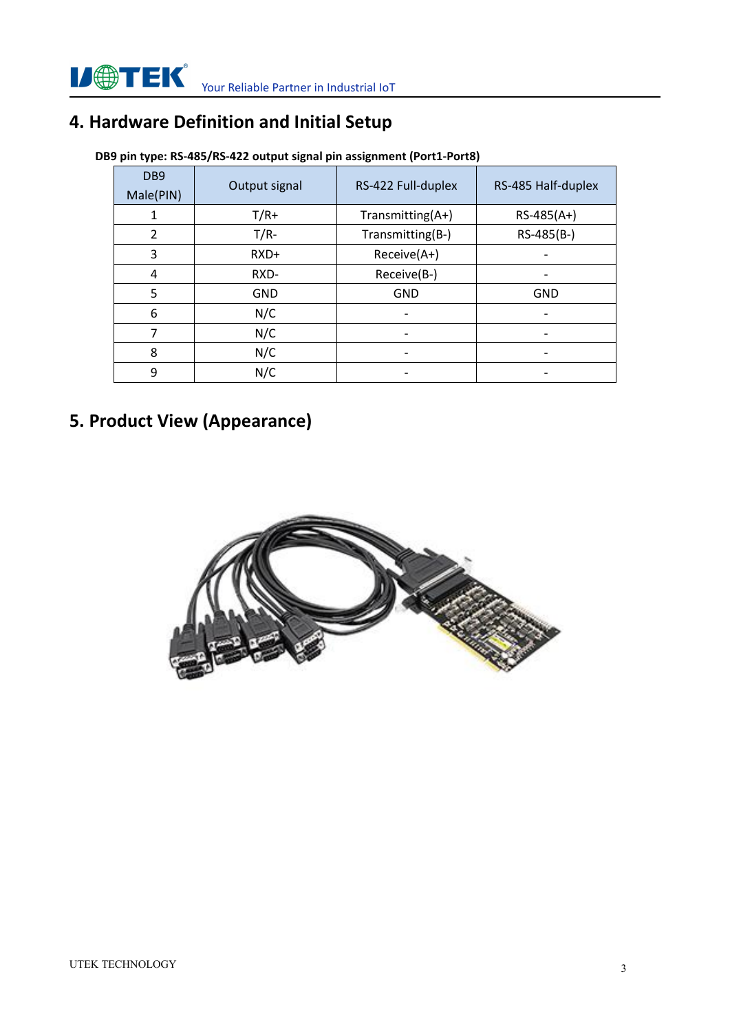# **4. Hardware Definition and Initial Setup**

| DB9<br>Male(PIN) | Output signal | RS-422 Full-duplex       | RS-485 Half-duplex |  |  |
|------------------|---------------|--------------------------|--------------------|--|--|
|                  | $T/R+$        | Transmitting(A+)         | $RS-485(A+)$       |  |  |
| 2                | $T/R-$        | Transmitting(B-)         | RS-485(B-)         |  |  |
| 3                | RXD+          | Receive(A+)              |                    |  |  |
| 4                | RXD-          | Receive(B-)              |                    |  |  |
| 5                | <b>GND</b>    | <b>GND</b>               | <b>GND</b>         |  |  |
| 6                | N/C           | $\overline{\phantom{a}}$ |                    |  |  |
|                  | N/C           | $\overline{\phantom{a}}$ |                    |  |  |
| 8                | N/C           | $\overline{\phantom{a}}$ |                    |  |  |
| 9                | N/C           | $\overline{\phantom{a}}$ |                    |  |  |

#### **DB9 pin type: RS-485/RS-422 outputsignal pin assignment (Port1-Port8)**

# **5. Product View (Appearance)**